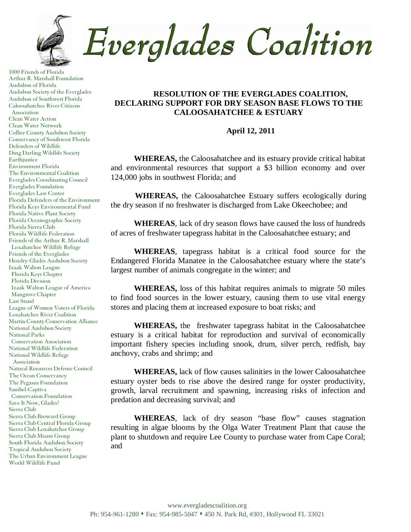Everglades Coalition

1000 Friends of Florida Arthur R. Marshall Foundation Audubon of Florida Audubon Society of the Everglades Audubon of Southwest Florida Caloosahatchee River Citizens Association Clean Water Action Clean Water Network Collier County Audubon Society Conservancy of Southwest Florida Defenders of Wildlife Ding Darling Wildlife Society Earthjustice Environment Florida The Environmental Coalition Everglades Coordinating Council Everglades Foundation Everglades Law Center Florida Defenders of the Environment Florida Keys Environmental Fund Florida Native Plant Society Florida Oceanographic Society Florida Sierra Club Florida Wildlife Federation Friends of the Arthur R. Marshall Loxahatchee Wildlife Refuge Friends of the Everglades Hendry-Glades Audubon Society Izaak Walton League Florida Keys Chapter Florida Division Izaak Walton League of America Mangrove Chapter Last Stand League of Women Voters of Florida Loxahatchee River Coalition Martin County Conservation Alliance National Audubon Society National Parks Conservation Association National Wildlife Federation National Wildlife Refuge Association Natural Resources Defense Council The Ocean Conservancy The Pegasus Foundation Sanibel-Captiva Conservation Foundation Save It Now, Glades! Sierra Club Sierra Club Broward Group Sierra Club Central Florida Group Sierra Club Loxahatchee Group Sierra Club Miami Group South Florida Audubon Society Tropical Audubon Society The Urban Environment League World Wildlife Fund

## **RESOLUTION OF THE EVERGLADES COALITION, DECLARING SUPPORT FOR DRY SEASON BASE FLOWS TO THE CALOOSAHATCHEE & ESTUARY**

## **April 12, 2011**

**WHEREAS,** the Caloosahatchee and its estuary provide critical habitat and environmental resources that support a \$3 billion economy and over 124,000 jobs in southwest Florida; and

**WHEREAS,** the Caloosahatchee Estuary suffers ecologically during the dry season if no freshwater is discharged from Lake Okeechobee; and

**WHEREAS**, lack of dry season flows have caused the loss of hundreds of acres of freshwater tapegrass habitat in the Caloosahatchee estuary; and

**WHEREAS**, tapegrass habitat is a critical food source for the Endangered Florida Manatee in the Caloosahatchee estuary where the state's largest number of animals congregate in the winter; and

**WHEREAS,** loss of this habitat requires animals to migrate 50 miles to find food sources in the lower estuary, causing them to use vital energy stores and placing them at increased exposure to boat risks; and

**WHEREAS,** the freshwater tapegrass habitat in the Caloosahatchee estuary is a critical habitat for reproduction and survival of economically important fishery species including snook, drum, silver perch, redfish, bay anchovy, crabs and shrimp; and

**WHEREAS,** lack of flow causes salinities in the lower Caloosahatchee estuary oyster beds to rise above the desired range for oyster productivity, growth, larval recruitment and spawning, increasing risks of infection and predation and decreasing survival; and

**WHEREAS**, lack of dry season "base flow" causes stagnation resulting in algae blooms by the Olga Water Treatment Plant that cause the plant to shutdown and require Lee County to purchase water from Cape Coral; and